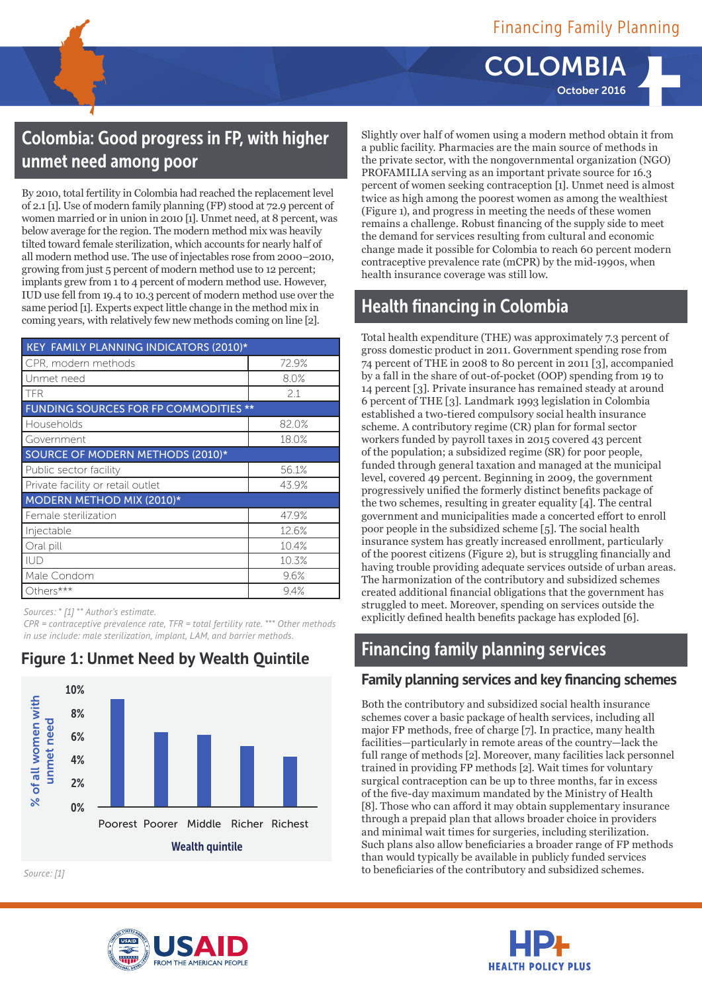**COLOMB** October 2016

# Colombia: Good progress in FP, with higher unmet need among poor

By 2010, total fertility in Colombia had reached the replacement level of 2.1 [1]. Use of modern family planning (FP) stood at 72.9 percent of women married or in union in 2010 [1]. Unmet need, at 8 percent, was below average for the region. The modern method mix was heavily tilted toward female sterilization, which accounts for nearly half of all modern method use. The use of injectables rose from 2000–2010, growing from just 5 percent of modern method use to 12 percent; implants grew from 1 to 4 percent of modern method use. However, IUD use fell from 19.4 to 10.3 percent of modern method use over the same period [1]. Experts expect little change in the method mix in coming years, with relatively few new methods coming on line [2].

| <b>KEY FAMILY PLANNING INDICATORS (2010)*</b> |       |  |  |
|-----------------------------------------------|-------|--|--|
| CPR, modern methods                           | 72.9% |  |  |
| Unmet need                                    | 8.0%  |  |  |
| TFR                                           | 2.1   |  |  |
| <b>FUNDING SOURCES FOR FP COMMODITIES **</b>  |       |  |  |
| Households                                    | 82.0% |  |  |
| Government                                    | 18.0% |  |  |
| SOURCE OF MODERN METHODS (2010)*              |       |  |  |
| Public sector facility                        | 56.1% |  |  |
| Private facility or retail outlet             | 43.9% |  |  |
| <b>MODERN METHOD MIX (2010)*</b>              |       |  |  |
| Female sterilization                          | 47.9% |  |  |
| Injectable                                    | 12.6% |  |  |
| Oral pill                                     | 10.4% |  |  |
| <b>IUD</b>                                    | 10.3% |  |  |
| Male Condom                                   | 9.6%  |  |  |
| Others***                                     | 9.4%  |  |  |

*Sources: \* [1] \*\* Author's estimate.*

*CPR = contraceptive prevalence rate, TFR = total fertility rate. \* \*\* Other methods in use include: male sterilization, implant, LAM, and barrier methods.* 



**Figure 1: Unmet Need by Wealth Quintile**

*Source: [1]*



## Health financing in Colombia

Total health expenditure (THE) was approximately 7.3 percent of gross domestic product in 2011. Government spending rose from 74 percent of THE in 2008 to 80 percent in 2011 [3], accompanied by a fall in the share of out-of-pocket (OOP) spending from 19 to 14 percent [3]. Private insurance has remained steady at around 6 percent of THE [3]. Landmark 1993 legislation in Colombia established a two-tiered compulsory social health insurance scheme. A contributory regime (CR) plan for formal sector workers funded by payroll taxes in 2015 covered 43 percent of the population; a subsidized regime (SR) for poor people, funded through general taxation and managed at the municipal level, covered 49 percent. Beginning in 2009, the government progressively unified the formerly distinct benefits package of the two schemes, resulting in greater equality [4]. The central government and municipalities made a concerted effort to enroll poor people in the subsidized scheme [5]. The social health insurance system has greatly increased enrollment, particularly of the poorest citizens (Figure 2), but is struggling financially and having trouble providing adequate services outside of urban areas. The harmonization of the contributory and subsidized schemes created additional financial obligations that the government has struggled to meet. Moreover, spending on services outside the explicitly defined health benefits package has exploded [6].

## Financing family planning services

#### **Family planning services and key financing schemes**

Both the contributory and subsidized social health insurance schemes cover a basic package of health services, including all major FP methods, free of charge [7]. In practice, many health facilities—particularly in remote areas of the country—lack the full range of methods [2]. Moreover, many facilities lack personnel trained in providing FP methods [2]. Wait times for voluntary surgical contraception can be up to three months, far in excess of the five-day maximum mandated by the Ministry of Health [8]. Those who can afford it may obtain supplementary insurance through a prepaid plan that allows broader choice in providers and minimal wait times for surgeries, including sterilization. Such plans also allow beneficiaries a broader range of FP methods than would typically be available in publicly funded services to beneficiaries of the contributory and subsidized schemes.